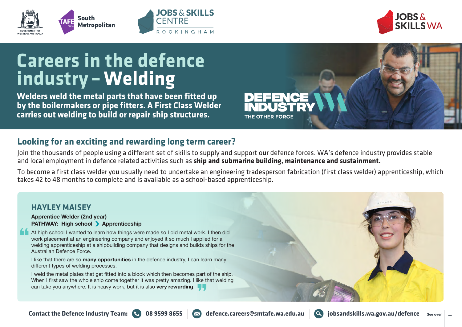



# **Careers in the defence industry –Welding**

**Welders weld the metal parts that have been fitted up by the boilermakers or pipe fitters. A First Class Welder carries out welding to build or repair ship structures.**

## **Looking for an exciting and rewarding long term career?**

Join the thousands of people using a different set of skills to supply and support our defence forces. WA's defence industry provides stable and local employment in defence related activities such as **ship and submarine building, maintenance and sustainment.**

**OBS & SKILLS** 

**ROCKINGHAM** 

CENTRE

To become a first class welder you usually need to undertake an engineering tradesperson fabrication (first class welder) apprenticeship, which takes 42 to 48 months to complete and is available as a school-based apprenticeship.

THE OTHER FORCE

### **HAYLEY MAISEY**

#### **Apprentice Welder (2nd year) PATHWAY: High school > Apprenticeship**

At high school I wanted to learn how things were made so I did metal work. I then did work placement at an engineering company and enjoyed it so much I applied for a welding apprenticeship at a shipbuilding company that designs and builds ships for the Australian Defence Force.

I like that there are so **many opportunities** in the defence industry, I can learn many different types of welding processes.

I weld the metal plates that get fitted into a block which then becomes part of the ship. When I first saw the whole ship come together it was pretty amazing. I like that welding can take you anywhere. It is heavy work, but it is also **very rewarding**.